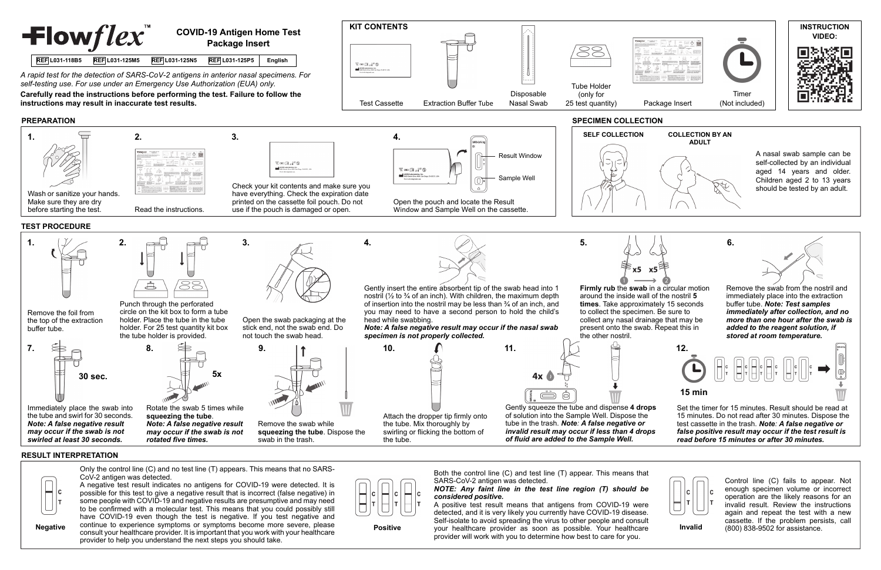

*self-testing use. For use under an Emergency Use Authorization (EUA) only.* 

**instructions may result in inaccurate test results.**

## **PREPARATION**

## **RESULT INTERPRETATION**



continue to experience symptoms or symptoms become more severe, please consult your healthcare provider. It is important that you work with your healthcare provider to help you understand the next steps you should take. Negative continue to experience symptoms or symptoms become more severe, please **Positive** provider as soon as possible. Your healthcare **Invalid** 





provider will work with you to determine how best to care for you.

(800) 838-9502 for assistance.